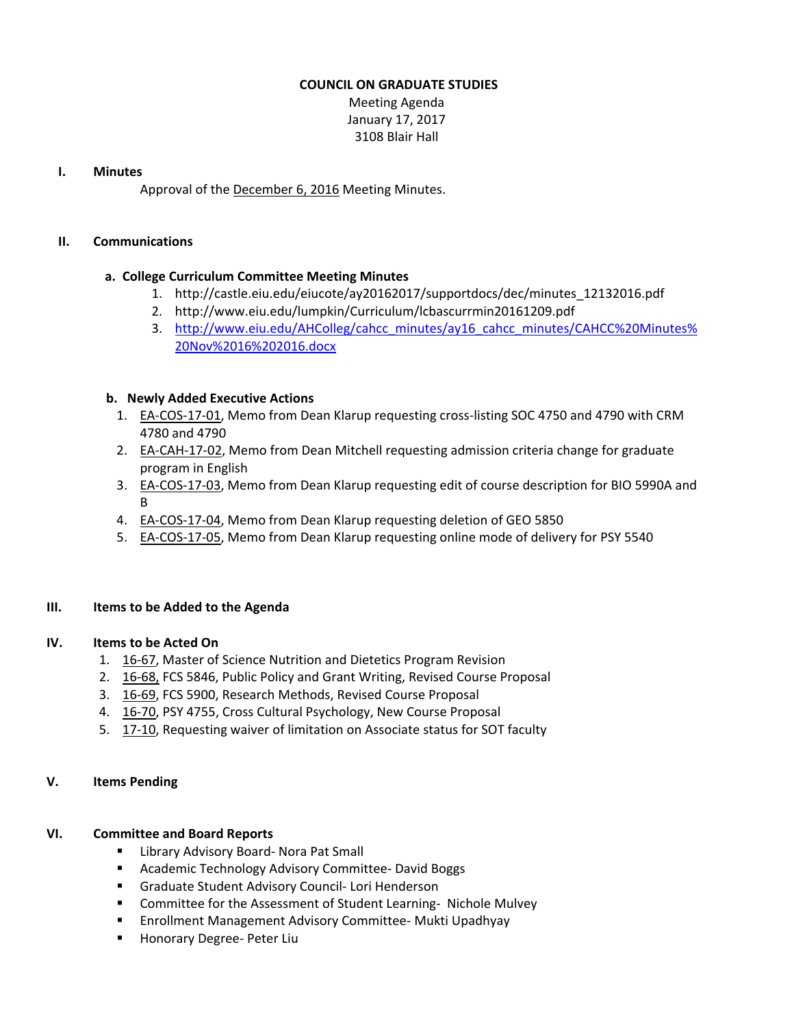# **COUNCIL ON GRADUATE STUDIES**

Meeting Agenda January 17, 2017 3108 Blair Hall

#### **I. Minutes**

Approval of the [December](http://castle.eiu.edu/eiucgs/currentminutes/Minutes12-6-16.pdf) 6, 2016 Meeting Minutes.

# **II. Communications**

# **a. College Curriculum Committee Meeting Minutes**

- 1. [http://castle.eiu.edu/eiucote/ay20162017/supportdocs/dec/minutes\\_12132016.pdf](http://castle.eiu.edu/eiucote/ay20162017/supportdocs/dec/minutes_12132016.pdf)
- 2. <http://www.eiu.edu/lumpkin/Curriculum/lcbascurrmin20161209.pdf>
- 3. [http://www.eiu.edu/AHColleg/](http://www.eiu.edu/AHColleg/cahcc_minutes/ay16_cahcc_minutes/CAHCC%20Minutes%20Nov%2016%202016.docx)cahcc\_minutes/ay16\_cahcc\_minutes/CAHCC%20Minutes% 20Nov%2016%202016.docx

# **b. Newly Added Executive Actions**

- 1. EA‐[COS](http://castle.eiu.edu/eiucgs/exec-actions/EA-COS-17-01.pdf)‐17‐01, Memo from Dean Klarup requesting cross‐listing SOC 4750 and 4790 with CRM 4780 and 4790
- 2. EA-[CAH](http://castle.eiu.edu/eiucgs/exec-actions/EA-CAH-17-02.pdf)-17-02, Memo from Dean Mitchell requesting admission criteria change for graduate program in English
- 3. EA-[COS](http://castle.eiu.edu/eiucgs/exec-actions/EA-COS-17-03.pdf)-17-03, Memo from Dean Klarup requesting edit of course description for BIO 5990A and B
- 4. EA-[COS](http://castle.eiu.edu/eiucgs/exec-actions/EA-COS-17-04.pdf)-17-04, Memo from Dean Klarup requesting deletion of GEO 5850
- 5. EA‐[COS](http://castle.eiu.edu/eiucgs/exec-actions/EA-COS-17-05.pdf)‐17‐05, Memo from Dean Klarup requesting online mode of delivery for PSY 5540

# **III. Items to be Added to the Agenda**

# **IV. Items to be Acted On**

- 1. 16‐[67,](http://castle.eiu.edu/eiucgs/currentagendaitems/agenda16-67.pdf) Master of Science Nutrition and Dietetics Program Revision
- 2. 16‐[68,](http://castle.eiu.edu/eiucgs/currentagendaitems/agenda16-68.pdf) FCS 5846, Public Policy and Grant Writing, Revised Course Proposal
- 3. 16‐[69,](http://castle.eiu.edu/eiucgs/currentagendaitems/agenda16-69.pdf) FCS 5900, Research Methods, Revised Course Proposal
- 4. 16-[70,](http://castle.eiu.edu/eiucgs/currentagendaitems/agenda16-70.pdf) PSY 4755, Cross Cultural Psychology, New Course Proposal
- 5. 17-[10,](http://castle.eiu.edu/eiucgs/currentagendaitems/agenda17-10.pdf) Requesting waiver of limitation on Associate status for SOT faculty

# **V. Items Pending**

# **VI. Committee and Board Reports**

- Library Advisory Board- Nora Pat Small
- Academic Technology Advisory Committee- David Boggs
- Graduate Student Advisory Council- Lori Henderson
- Committee for the Assessment of Student Learning- Nichole Mulvey
- Enrollment Management Advisory Committee- Mukti Upadhyay
- Honorary Degree- Peter Liu